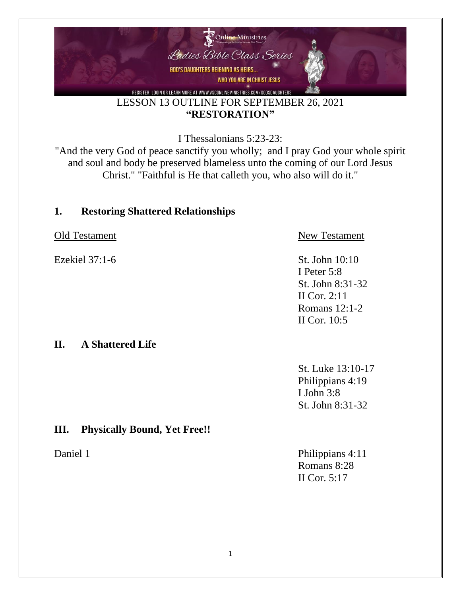

LESSON 13 OUTLINE FOR SEPTEMBER 26, 2021 **"RESTORATION"**

I Thessalonians 5:23-23:

"And the very God of peace sanctify you wholly; and I pray God your whole spirit and soul and body be preserved blameless unto the coming of our Lord Jesus Christ." "Faithful is He that calleth you, who also will do it."

#### **1. Restoring Shattered Relationships**

Old Testament New Testament Ezekiel 37:1-6 St. John 10:10 I Peter 5:8 St. John 8:31-32 II Cor. 2:11 Romans 12:1-2 II Cor. 10:5 **II. A Shattered Life** St. Luke 13:10-17 Philippians 4:19 I John 3:8

### **III. Physically Bound, Yet Free!!**

Daniel 1 Philippians 4:11 Romans 8:28 II Cor. 5:17

St. John 8:31-32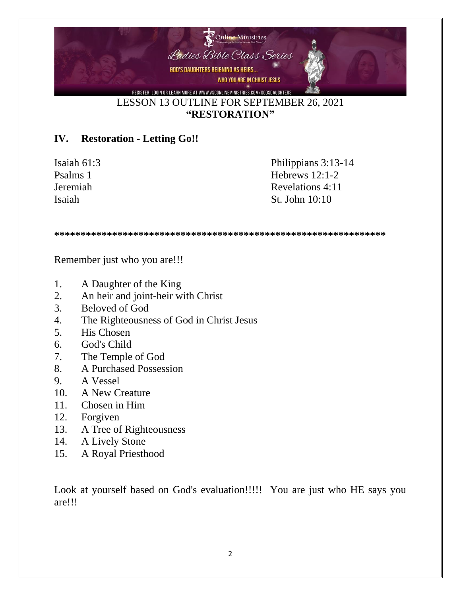

#### **"RESTORATION"**

#### **IV. Restoration - Letting Go!!**

Isaiah 61:3 Philippians 3:13-14 Psalms 1 Hebrews 12:1-2 Jeremiah Revelations 4:11 Isaiah St. John 10:10

**\*\*\*\*\*\*\*\*\*\*\*\*\*\*\*\*\*\*\*\*\*\*\*\*\*\*\*\*\*\*\*\*\*\*\*\*\*\*\*\*\*\*\*\*\*\*\*\*\*\*\*\*\*\*\*\*\*\*\*\*\*\*\***

Remember just who you are!!!

- 1. A Daughter of the King
- 2. An heir and joint-heir with Christ
- 3. Beloved of God
- 4. The Righteousness of God in Christ Jesus
- 5. His Chosen
- 6. God's Child
- 7. The Temple of God
- 8. A Purchased Possession
- 9. A Vessel
- 10. A New Creature
- 11. Chosen in Him
- 12. Forgiven
- 13. A Tree of Righteousness
- 14. A Lively Stone
- 15. A Royal Priesthood

Look at yourself based on God's evaluation!!!!! You are just who HE says you are!!!